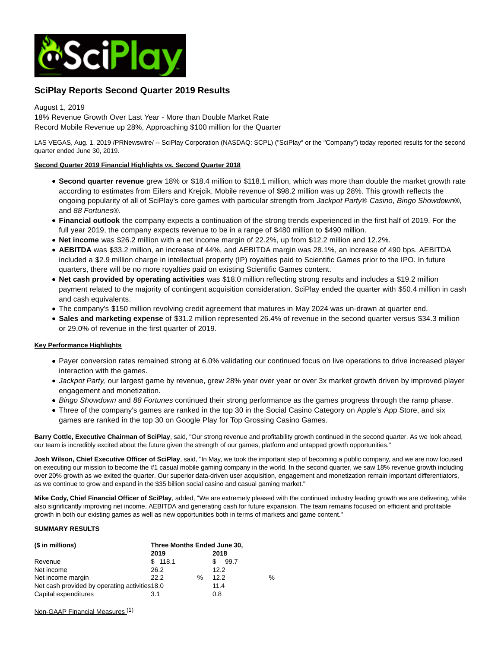

# **SciPlay Reports Second Quarter 2019 Results**

August 1, 2019

18% Revenue Growth Over Last Year - More than Double Market Rate Record Mobile Revenue up 28%, Approaching \$100 million for the Quarter

LAS VEGAS, Aug. 1, 2019 /PRNewswire/ -- SciPlay Corporation (NASDAQ: SCPL) ("SciPlay" or the "Company") today reported results for the second quarter ended June 30, 2019.

# **Second Quarter 2019 Financial Highlights vs. Second Quarter 2018**

- **Second quarter revenue** grew 18% or \$18.4 million to \$118.1 million, which was more than double the market growth rate according to estimates from Eilers and Krejcik. Mobile revenue of \$98.2 million was up 28%. This growth reflects the ongoing popularity of all of SciPlay's core games with particular strength from Jackpot Party® Casino, Bingo Showdown®, and 88 Fortunes®.
- **Financial outlook** the company expects a continuation of the strong trends experienced in the first half of 2019. For the full year 2019, the company expects revenue to be in a range of \$480 million to \$490 million.
- **Net income** was \$26.2 million with a net income margin of 22.2%, up from \$12.2 million and 12.2%.
- **AEBITDA** was \$33.2 million, an increase of 44%, and AEBITDA margin was 28.1%, an increase of 490 bps. AEBITDA included a \$2.9 million charge in intellectual property (IP) royalties paid to Scientific Games prior to the IPO. In future quarters, there will be no more royalties paid on existing Scientific Games content.
- **Net cash provided by operating activities** was \$18.0 million reflecting strong results and includes a \$19.2 million payment related to the majority of contingent acquisition consideration. SciPlay ended the quarter with \$50.4 million in cash and cash equivalents.
- The company's \$150 million revolving credit agreement that matures in May 2024 was un-drawn at quarter end.
- **Sales and marketing expense** of \$31.2 million represented 26.4% of revenue in the second quarter versus \$34.3 million or 29.0% of revenue in the first quarter of 2019.

# **Key Performance Highlights**

- Payer conversion rates remained strong at 6.0% validating our continued focus on live operations to drive increased player interaction with the games.
- Jackpot Party, our largest game by revenue, grew 28% year over year or over 3x market growth driven by improved player engagement and monetization.
- Bingo Showdown and 88 Fortunes continued their strong performance as the games progress through the ramp phase.
- Three of the company's games are ranked in the top 30 in the Social Casino Category on Apple's App Store, and six games are ranked in the top 30 on Google Play for Top Grossing Casino Games.

**Barry Cottle, Executive Chairman of SciPlay**, said, "Our strong revenue and profitability growth continued in the second quarter. As we look ahead, our team is incredibly excited about the future given the strength of our games, platform and untapped growth opportunities."

**Josh Wilson, Chief Executive Officer of SciPlay**, said, "In May, we took the important step of becoming a public company, and we are now focused on executing our mission to become the #1 casual mobile gaming company in the world. In the second quarter, we saw 18% revenue growth including over 20% growth as we exited the quarter. Our superior data-driven user acquisition, engagement and monetization remain important differentiators, as we continue to grow and expand in the \$35 billion social casino and casual gaming market."

**Mike Cody, Chief Financial Officer of SciPlay**, added, "We are extremely pleased with the continued industry leading growth we are delivering, while also significantly improving net income, AEBITDA and generating cash for future expansion. The team remains focused on efficient and profitable growth in both our existing games as well as new opportunities both in terms of markets and game content."

# **SUMMARY RESULTS**

| $($$ in millions)                              | Three Months Ended June 30, |   |      |               |
|------------------------------------------------|-----------------------------|---|------|---------------|
|                                                | 2019                        |   | 2018 |               |
| Revenue                                        | \$118.1                     |   | 99.7 |               |
| Net income                                     | 26.2                        |   | 12.2 |               |
| Net income margin                              | 22.2                        | ℅ | 12.2 | $\frac{0}{0}$ |
| Net cash provided by operating activities 18.0 |                             |   | 11.4 |               |
| Capital expenditures                           | 3.1                         |   | 0.8  |               |

Non-GAAP Financial Measures (1)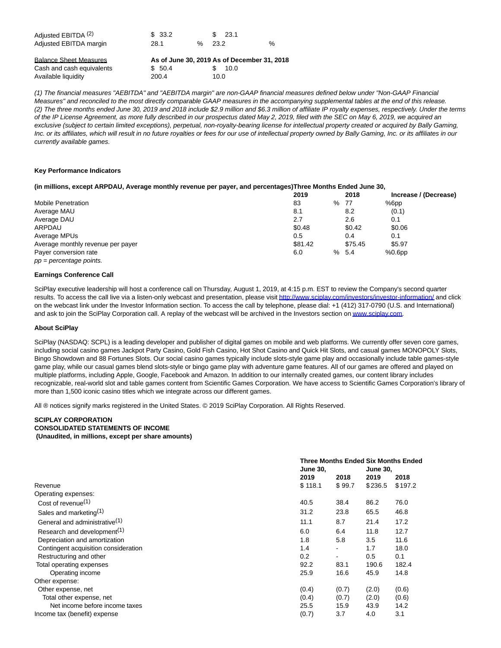| Adjusted EBITDA (2)    | \$ 33.2 | \$ 23.1   |   |
|------------------------|---------|-----------|---|
| Adjusted EBITDA margin | 28.1    | $\%$ 23.2 | % |
|                        |         |           |   |

| <b>Balance Sheet Measures</b> |         | As of June 30, 2019 As of December 31, 2018 |
|-------------------------------|---------|---------------------------------------------|
| Cash and cash equivalents     | \$ 50.4 | \$ 10.0                                     |
| Available liquidity           | 200.4   | 10.0                                        |

(1) The financial measures "AEBITDA" and "AEBITDA margin" are non-GAAP financial measures defined below under "Non-GAAP Financial Measures" and reconciled to the most directly comparable GAAP measures in the accompanying supplemental tables at the end of this release. (2) The three months ended June 30, 2019 and 2018 include \$2.9 million and \$6.3 million of affiliate IP royalty expenses, respectively. Under the terms of the IP License Agreement, as more fully described in our prospectus dated May 2, 2019, filed with the SEC on May 6, 2019, we acquired an exclusive (subject to certain limited exceptions), perpetual, non-royalty-bearing license for intellectual property created or acquired by Bally Gaming, Inc. or its affiliates, which will result in no future royalties or fees for our use of intellectual property owned by Bally Gaming, Inc. or its affiliates in our currently available games.

# **Key Performance Indicators**

### **(in millions, except ARPDAU, Average monthly revenue per payer, and percentages)Three Months Ended June 30,**

|                                   | 2019    | 2018    | Increase / (Decrease) |
|-----------------------------------|---------|---------|-----------------------|
| <b>Mobile Penetration</b>         | 83      | % 77    | %6pp                  |
| Average MAU                       | 8.1     | 8.2     | (0.1)                 |
| Average DAU                       | 2.7     | 2.6     | 0.1                   |
| ARPDAU                            | \$0.48  | \$0.42  | \$0.06                |
| Average MPUs                      | 0.5     | 0.4     | 0.1                   |
| Average monthly revenue per payer | \$81.42 | \$75.45 | \$5.97                |
| Payer conversion rate             | 6.0     | % 5.4   | %0.6 <sub>pp</sub>    |
| $pp = percentage points$ .        |         |         |                       |

# **Earnings Conference Call**

SciPlay executive leadership will host a conference call on Thursday, August 1, 2019, at 4:15 p.m. EST to review the Company's second quarter results. To access the call live via a listen-only webcast and presentation, please visi[t http://www.sciplay.com/investors/investor-information/ a](http://www.sciplay.com/investors/investor-information/)nd click on the webcast link under the Investor Information section. To access the call by telephone, please dial: +1 (412) 317-0790 (U.S. and International) and ask to join the SciPlay Corporation call. A replay of the webcast will be archived in the Investors section o[n www.sciplay.com.](http://www.sciplay.com/)

#### **About SciPlay**

SciPlay (NASDAQ: SCPL) is a leading developer and publisher of digital games on mobile and web platforms. We currently offer seven core games, including social casino games Jackpot Party Casino, Gold Fish Casino, Hot Shot Casino and Quick Hit Slots, and casual games MONOPOLY Slots, Bingo Showdown and 88 Fortunes Slots. Our social casino games typically include slots-style game play and occasionally include table games-style game play, while our casual games blend slots-style or bingo game play with adventure game features. All of our games are offered and played on multiple platforms, including Apple, Google, Facebook and Amazon. In addition to our internally created games, our content library includes recognizable, real-world slot and table games content from Scientific Games Corporation. We have access to Scientific Games Corporation's library of more than 1,500 iconic casino titles which we integrate across our different games.

All ® notices signify marks registered in the United States. © 2019 SciPlay Corporation. All Rights Reserved.

# **SCIPLAY CORPORATION CONSOLIDATED STATEMENTS OF INCOME (Unaudited, in millions, except per share amounts)**

|                                           |         | <b>Three Months Ended Six Months Ended</b> |         |         |  |  |
|-------------------------------------------|---------|--------------------------------------------|---------|---------|--|--|
|                                           |         | <b>June 30.</b><br><b>June 30,</b>         |         |         |  |  |
|                                           | 2019    | 2018                                       |         | 2018    |  |  |
| Revenue                                   | \$118.1 | \$99.7                                     | \$236.5 | \$197.2 |  |  |
| Operating expenses:                       |         |                                            |         |         |  |  |
| Cost of revenue $(1)$                     | 40.5    | 38.4                                       | 86.2    | 76.0    |  |  |
| Sales and marketing <sup>(1)</sup>        | 31.2    | 23.8                                       | 65.5    | 46.8    |  |  |
| General and administrative <sup>(1)</sup> | 11.1    | 8.7                                        | 21.4    | 17.2    |  |  |
| Research and development <sup>(1)</sup>   | 6.0     | 6.4                                        | 11.8    | 12.7    |  |  |
| Depreciation and amortization             | 1.8     | 5.8                                        | 3.5     | 11.6    |  |  |
| Contingent acquisition consideration      | 1.4     | ٠                                          | 1.7     | 18.0    |  |  |
| Restructuring and other                   | 0.2     | $\blacksquare$                             | 0.5     | 0.1     |  |  |
| Total operating expenses                  | 92.2    | 83.1                                       | 190.6   | 182.4   |  |  |
| Operating income                          | 25.9    | 16.6                                       | 45.9    | 14.8    |  |  |
| Other expense:                            |         |                                            |         |         |  |  |
| Other expense, net                        | (0.4)   | (0.7)                                      | (2.0)   | (0.6)   |  |  |
| Total other expense, net                  | (0.4)   | (0.7)                                      | (2.0)   | (0.6)   |  |  |
| Net income before income taxes            | 25.5    | 15.9                                       | 43.9    | 14.2    |  |  |
| Income tax (benefit) expense              | (0.7)   | 3.7                                        | 4.0     | 3.1     |  |  |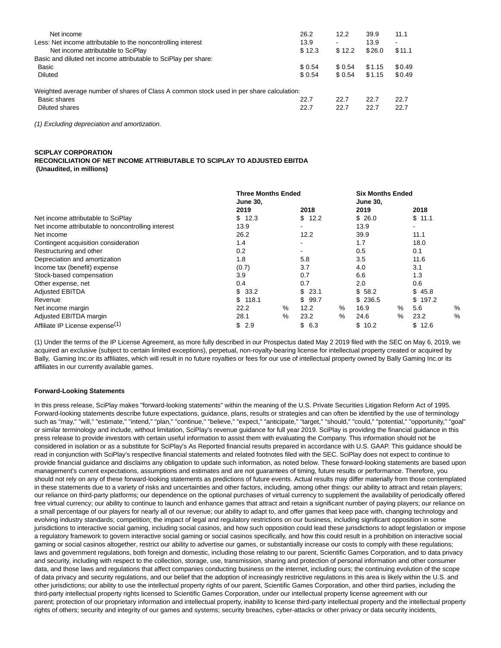| Net income                                                                               | 26.2    | 12.2    | 39.9   | 11.1   |
|------------------------------------------------------------------------------------------|---------|---------|--------|--------|
| Less: Net income attributable to the noncontrolling interest                             | 13.9    |         | 13.9   | ۰      |
| Net income attributable to SciPlay                                                       | \$12.3  | \$12.2  | \$26.0 | \$11.1 |
| Basic and diluted net income attributable to SciPlay per share:                          |         |         |        |        |
| Basic                                                                                    | \$ 0.54 | \$ 0.54 | \$1.15 | \$0.49 |
| Diluted                                                                                  | \$0.54  | \$0.54  | \$1.15 | \$0.49 |
| Weighted average number of shares of Class A common stock used in per share calculation: |         |         |        |        |
| Basic shares                                                                             | 22.7    | 22.7    | 22.7   | 22.7   |
| Diluted shares                                                                           | 22.7    | 22.7    | 22.7   | 22.7   |
|                                                                                          |         |         |        |        |

(1) Excluding depreciation and amortization.

### **SCIPLAY CORPORATION**

**RECONCILIATION OF NET INCOME ATTRIBUTABLE TO SCIPLAY TO ADJUSTED EBITDA (Unaudited, in millions)**

|                                                    | <b>Three Months Ended</b><br><b>June 30,</b> |      |            | <b>Six Months Ended</b><br><b>June 30.</b> |         |      |                |               |
|----------------------------------------------------|----------------------------------------------|------|------------|--------------------------------------------|---------|------|----------------|---------------|
|                                                    | 2019                                         |      | 2018       |                                            | 2019    |      | 2018           |               |
| Net income attributable to SciPlay                 | \$12.3                                       |      | \$12.2     |                                            | \$26.0  |      | \$11.1         |               |
| Net income attributable to noncontrolling interest | 13.9                                         |      |            |                                            | 13.9    |      | $\blacksquare$ |               |
| Net income                                         | 26.2                                         |      | 12.2       |                                            | 39.9    |      | 11.1           |               |
| Contingent acquisition consideration               | 1.4                                          |      |            |                                            | 1.7     |      | 18.0           |               |
| Restructuring and other                            | 0.2                                          |      |            |                                            | 0.5     |      | 0.1            |               |
| Depreciation and amortization                      | 1.8                                          |      | 5.8        |                                            | 3.5     |      | 11.6           |               |
| Income tax (benefit) expense                       | (0.7)                                        |      | 3.7        |                                            | 4.0     |      | 3.1            |               |
| Stock-based compensation                           | 3.9                                          |      | 0.7        |                                            | 6.6     |      | 1.3            |               |
| Other expense, net                                 | 0.4                                          |      | 0.7        |                                            | 2.0     |      | 0.6            |               |
| <b>Adjusted EBITDA</b>                             | \$<br>33.2                                   |      | \$<br>23.1 |                                            | \$58.2  |      | \$<br>45.8     |               |
| Revenue                                            | 118.1<br>\$.                                 |      | \$99.7     |                                            | \$236.5 |      | \$<br>197.2    |               |
| Net income margin                                  | 22.2                                         | $\%$ | 12.2       | $\%$                                       | 16.9    | %    | 5.6            | %             |
| Adjusted EBITDA margin                             | 28.1                                         | $\%$ | 23.2       | $\%$                                       | 24.6    | $\%$ | 23.2           | $\frac{0}{0}$ |
| Affiliate IP License expense <sup>(1)</sup>        | \$<br>2.9                                    |      | \$6.3      |                                            | \$10.2  |      | \$<br>12.6     |               |

(1) Under the terms of the IP License Agreement, as more fully described in our Prospectus dated May 2 2019 filed with the SEC on May 6, 2019, we acquired an exclusive (subject to certain limited exceptions), perpetual, non-royalty-bearing license for intellectual property created or acquired by Bally, Gaming Inc.or its affiliates, which will result in no future royalties or fees for our use of intellectual property owned by Bally Gaming Inc.or its affiliates in our currently available games.

#### **Forward-Looking Statements**

In this press release, SciPlay makes "forward-looking statements" within the meaning of the U.S. Private Securities Litigation Reform Act of 1995. Forward-looking statements describe future expectations, guidance, plans, results or strategies and can often be identified by the use of terminology such as "may," "will," "estimate," "intend," "plan," "continue," "believe," "expect," "anticipate," "target," "should," "could," "potential," "opportunity," "goal" or similar terminology and include, without limitation, SciPlay's revenue guidance for full year 2019. SciPlay is providing the financial guidance in this press release to provide investors with certain useful information to assist them with evaluating the Company. This information should not be considered in isolation or as a substitute for SciPlay's As Reported financial results prepared in accordance with U.S. GAAP. This guidance should be read in conjunction with SciPlay's respective financial statements and related footnotes filed with the SEC. SciPlay does not expect to continue to provide financial guidance and disclaims any obligation to update such information, as noted below. These forward-looking statements are based upon management's current expectations, assumptions and estimates and are not guarantees of timing, future results or performance. Therefore, you should not rely on any of these forward-looking statements as predictions of future events. Actual results may differ materially from those contemplated in these statements due to a variety of risks and uncertainties and other factors, including, among other things: our ability to attract and retain players; our reliance on third-party platforms; our dependence on the optional purchases of virtual currency to supplement the availability of periodically offered free virtual currency; our ability to continue to launch and enhance games that attract and retain a significant number of paying players; our reliance on a small percentage of our players for nearly all of our revenue; our ability to adapt to, and offer games that keep pace with, changing technology and evolving industry standards; competition; the impact of legal and regulatory restrictions on our business, including significant opposition in some jurisdictions to interactive social gaming, including social casinos, and how such opposition could lead these jurisdictions to adopt legislation or impose a regulatory framework to govern interactive social gaming or social casinos specifically, and how this could result in a prohibition on interactive social gaming or social casinos altogether, restrict our ability to advertise our games, or substantially increase our costs to comply with these regulations; laws and government regulations, both foreign and domestic, including those relating to our parent, Scientific Games Corporation, and to data privacy and security, including with respect to the collection, storage, use, transmission, sharing and protection of personal information and other consumer data, and those laws and regulations that affect companies conducting business on the internet, including ours; the continuing evolution of the scope of data privacy and security regulations, and our belief that the adoption of increasingly restrictive regulations in this area is likely within the U.S. and other jurisdictions; our ability to use the intellectual property rights of our parent, Scientific Games Corporation, and other third parties, including the third-party intellectual property rights licensed to Scientific Games Corporation, under our intellectual property license agreement with our parent; protection of our proprietary information and intellectual property, inability to license third-party intellectual property and the intellectual property rights of others; security and integrity of our games and systems; security breaches, cyber-attacks or other privacy or data security incidents,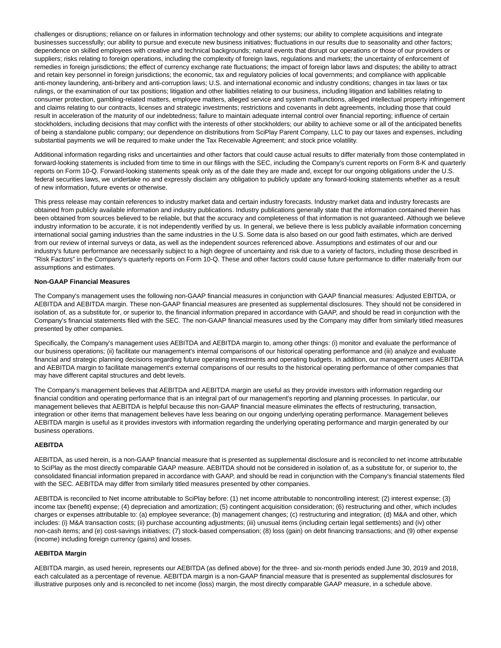challenges or disruptions; reliance on or failures in information technology and other systems; our ability to complete acquisitions and integrate businesses successfully; our ability to pursue and execute new business initiatives; fluctuations in our results due to seasonality and other factors; dependence on skilled employees with creative and technical backgrounds; natural events that disrupt our operations or those of our providers or suppliers; risks relating to foreign operations, including the complexity of foreign laws, regulations and markets; the uncertainty of enforcement of remedies in foreign jurisdictions; the effect of currency exchange rate fluctuations; the impact of foreign labor laws and disputes; the ability to attract and retain key personnel in foreign jurisdictions; the economic, tax and regulatory policies of local governments; and compliance with applicable anti-money laundering, anti-bribery and anti-corruption laws; U.S. and international economic and industry conditions; changes in tax laws or tax rulings, or the examination of our tax positions; litigation and other liabilities relating to our business, including litigation and liabilities relating to consumer protection, gambling-related matters, employee matters, alleged service and system malfunctions, alleged intellectual property infringement and claims relating to our contracts, licenses and strategic investments; restrictions and covenants in debt agreements, including those that could result in acceleration of the maturity of our indebtedness; failure to maintain adequate internal control over financial reporting; influence of certain stockholders, including decisions that may conflict with the interests of other stockholders; our ability to achieve some or all of the anticipated benefits of being a standalone public company; our dependence on distributions from SciPlay Parent Company, LLC to pay our taxes and expenses, including substantial payments we will be required to make under the Tax Receivable Agreement; and stock price volatility.

Additional information regarding risks and uncertainties and other factors that could cause actual results to differ materially from those contemplated in forward-looking statements is included from time to time in our filings with the SEC, including the Company's current reports on Form 8-K and quarterly reports on Form 10-Q. Forward-looking statements speak only as of the date they are made and, except for our ongoing obligations under the U.S. federal securities laws, we undertake no and expressly disclaim any obligation to publicly update any forward-looking statements whether as a result of new information, future events or otherwise.

This press release may contain references to industry market data and certain industry forecasts. Industry market data and industry forecasts are obtained from publicly available information and industry publications. Industry publications generally state that the information contained therein has been obtained from sources believed to be reliable, but that the accuracy and completeness of that information is not guaranteed. Although we believe industry information to be accurate, it is not independently verified by us. In general, we believe there is less publicly available information concerning international social gaming industries than the same industries in the U.S. Some data is also based on our good faith estimates, which are derived from our review of internal surveys or data, as well as the independent sources referenced above. Assumptions and estimates of our and our industry's future performance are necessarily subject to a high degree of uncertainty and risk due to a variety of factors, including those described in "Risk Factors" in the Company's quarterly reports on Form 10-Q. These and other factors could cause future performance to differ materially from our assumptions and estimates.

### **Non-GAAP Financial Measures**

The Company's management uses the following non-GAAP financial measures in conjunction with GAAP financial measures: Adjusted EBITDA, or AEBITDA and AEBITDA margin. These non-GAAP financial measures are presented as supplemental disclosures. They should not be considered in isolation of, as a substitute for, or superior to, the financial information prepared in accordance with GAAP, and should be read in conjunction with the Company's financial statements filed with the SEC. The non-GAAP financial measures used by the Company may differ from similarly titled measures presented by other companies.

Specifically, the Company's management uses AEBITDA and AEBITDA margin to, among other things: (i) monitor and evaluate the performance of our business operations; (ii) facilitate our management's internal comparisons of our historical operating performance and (iii) analyze and evaluate financial and strategic planning decisions regarding future operating investments and operating budgets. In addition, our management uses AEBITDA and AEBITDA margin to facilitate management's external comparisons of our results to the historical operating performance of other companies that may have different capital structures and debt levels.

The Company's management believes that AEBITDA and AEBITDA margin are useful as they provide investors with information regarding our financial condition and operating performance that is an integral part of our management's reporting and planning processes. In particular, our management believes that AEBITDA is helpful because this non-GAAP financial measure eliminates the effects of restructuring, transaction, integration or other items that management believes have less bearing on our ongoing underlying operating performance. Management believes AEBITDA margin is useful as it provides investors with information regarding the underlying operating performance and margin generated by our business operations.

# **AEBITDA**

AEBITDA, as used herein, is a non-GAAP financial measure that is presented as supplemental disclosure and is reconciled to net income attributable to SciPlay as the most directly comparable GAAP measure. AEBITDA should not be considered in isolation of, as a substitute for, or superior to, the consolidated financial information prepared in accordance with GAAP, and should be read in conjunction with the Company's financial statements filed with the SEC. AEBITDA may differ from similarly titled measures presented by other companies.

AEBITDA is reconciled to Net income attributable to SciPlay before: (1) net income attributable to noncontrolling interest; (2) interest expense; (3) income tax (benefit) expense; (4) depreciation and amortization; (5) contingent acquisition consideration; (6) restructuring and other, which includes charges or expenses attributable to: (a) employee severance; (b) management changes; (c) restructuring and integration; (d) M&A and other, which includes: (i) M&A transaction costs; (ii) purchase accounting adjustments; (iii) unusual items (including certain legal settlements) and (iv) other non-cash items; and (e) cost-savings initiatives; (7) stock-based compensation; (8) loss (gain) on debt financing transactions; and (9) other expense (income) including foreign currency (gains) and losses.

# **AEBITDA Margin**

AEBITDA margin, as used herein, represents our AEBITDA (as defined above) for the three- and six-month periods ended June 30, 2019 and 2018, each calculated as a percentage of revenue. AEBITDA margin is a non-GAAP financial measure that is presented as supplemental disclosures for illustrative purposes only and is reconciled to net income (loss) margin, the most directly comparable GAAP measure, in a schedule above.